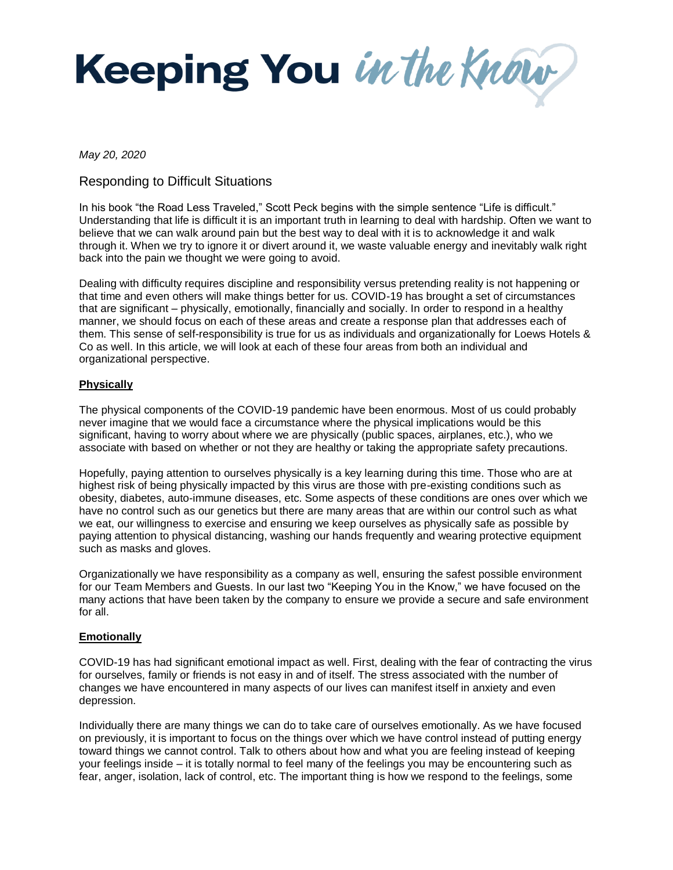Keeping You in the Know

*May 20, 2020*

## Responding to Difficult Situations

In his book "the Road Less Traveled," Scott Peck begins with the simple sentence "Life is difficult." Understanding that life is difficult it is an important truth in learning to deal with hardship. Often we want to believe that we can walk around pain but the best way to deal with it is to acknowledge it and walk through it. When we try to ignore it or divert around it, we waste valuable energy and inevitably walk right back into the pain we thought we were going to avoid.

Dealing with difficulty requires discipline and responsibility versus pretending reality is not happening or that time and even others will make things better for us. COVID-19 has brought a set of circumstances that are significant – physically, emotionally, financially and socially. In order to respond in a healthy manner, we should focus on each of these areas and create a response plan that addresses each of them. This sense of self-responsibility is true for us as individuals and organizationally for Loews Hotels & Co as well. In this article, we will look at each of these four areas from both an individual and organizational perspective.

#### **Physically**

The physical components of the COVID-19 pandemic have been enormous. Most of us could probably never imagine that we would face a circumstance where the physical implications would be this significant, having to worry about where we are physically (public spaces, airplanes, etc.), who we associate with based on whether or not they are healthy or taking the appropriate safety precautions.

Hopefully, paying attention to ourselves physically is a key learning during this time. Those who are at highest risk of being physically impacted by this virus are those with pre-existing conditions such as obesity, diabetes, auto-immune diseases, etc. Some aspects of these conditions are ones over which we have no control such as our genetics but there are many areas that are within our control such as what we eat, our willingness to exercise and ensuring we keep ourselves as physically safe as possible by paying attention to physical distancing, washing our hands frequently and wearing protective equipment such as masks and gloves.

Organizationally we have responsibility as a company as well, ensuring the safest possible environment for our Team Members and Guests. In our last two "Keeping You in the Know," we have focused on the many actions that have been taken by the company to ensure we provide a secure and safe environment for all.

### **Emotionally**

COVID-19 has had significant emotional impact as well. First, dealing with the fear of contracting the virus for ourselves, family or friends is not easy in and of itself. The stress associated with the number of changes we have encountered in many aspects of our lives can manifest itself in anxiety and even depression.

Individually there are many things we can do to take care of ourselves emotionally. As we have focused on previously, it is important to focus on the things over which we have control instead of putting energy toward things we cannot control. Talk to others about how and what you are feeling instead of keeping your feelings inside – it is totally normal to feel many of the feelings you may be encountering such as fear, anger, isolation, lack of control, etc. The important thing is how we respond to the feelings, some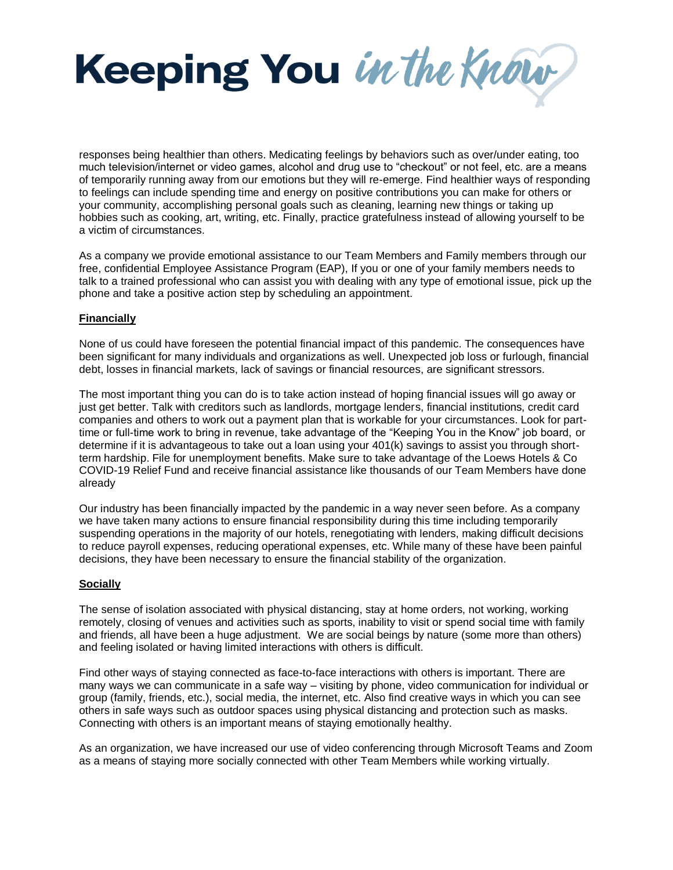

responses being healthier than others. Medicating feelings by behaviors such as over/under eating, too much television/internet or video games, alcohol and drug use to "checkout" or not feel, etc. are a means of temporarily running away from our emotions but they will re-emerge. Find healthier ways of responding to feelings can include spending time and energy on positive contributions you can make for others or your community, accomplishing personal goals such as cleaning, learning new things or taking up hobbies such as cooking, art, writing, etc. Finally, practice gratefulness instead of allowing yourself to be a victim of circumstances.

As a company we provide emotional assistance to our Team Members and Family members through our free, confidential Employee Assistance Program (EAP), If you or one of your family members needs to talk to a trained professional who can assist you with dealing with any type of emotional issue, pick up the phone and take a positive action step by scheduling an appointment.

#### **Financially**

None of us could have foreseen the potential financial impact of this pandemic. The consequences have been significant for many individuals and organizations as well. Unexpected job loss or furlough, financial debt, losses in financial markets, lack of savings or financial resources, are significant stressors.

The most important thing you can do is to take action instead of hoping financial issues will go away or just get better. Talk with creditors such as landlords, mortgage lenders, financial institutions, credit card companies and others to work out a payment plan that is workable for your circumstances. Look for parttime or full-time work to bring in revenue, take advantage of the "Keeping You in the Know" job board, or determine if it is advantageous to take out a loan using your 401(k) savings to assist you through shortterm hardship. File for unemployment benefits. Make sure to take advantage of the Loews Hotels & Co COVID-19 Relief Fund and receive financial assistance like thousands of our Team Members have done already

Our industry has been financially impacted by the pandemic in a way never seen before. As a company we have taken many actions to ensure financial responsibility during this time including temporarily suspending operations in the majority of our hotels, renegotiating with lenders, making difficult decisions to reduce payroll expenses, reducing operational expenses, etc. While many of these have been painful decisions, they have been necessary to ensure the financial stability of the organization.

#### **Socially**

The sense of isolation associated with physical distancing, stay at home orders, not working, working remotely, closing of venues and activities such as sports, inability to visit or spend social time with family and friends, all have been a huge adjustment. We are social beings by nature (some more than others) and feeling isolated or having limited interactions with others is difficult.

Find other ways of staying connected as face-to-face interactions with others is important. There are many ways we can communicate in a safe way – visiting by phone, video communication for individual or group (family, friends, etc.), social media, the internet, etc. Also find creative ways in which you can see others in safe ways such as outdoor spaces using physical distancing and protection such as masks. Connecting with others is an important means of staying emotionally healthy.

As an organization, we have increased our use of video conferencing through Microsoft Teams and Zoom as a means of staying more socially connected with other Team Members while working virtually.